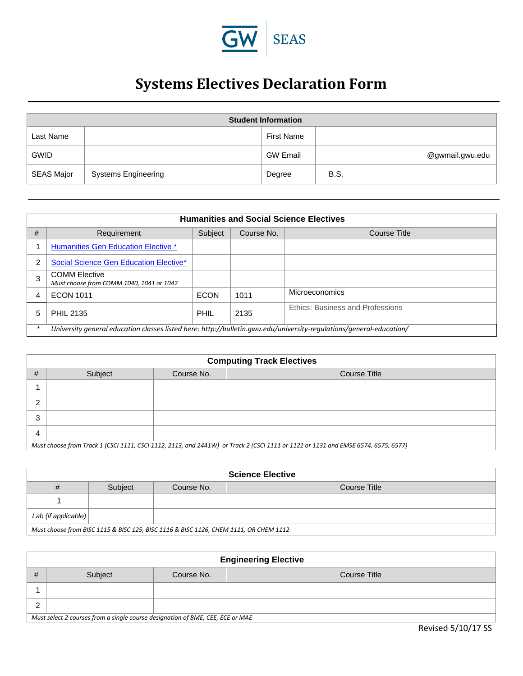

## **Systems Electives Declaration Form**

| <b>Student Information</b> |                            |                   |                 |  |
|----------------------------|----------------------------|-------------------|-----------------|--|
| Last Name                  |                            | <b>First Name</b> |                 |  |
| <b>GWID</b>                |                            | <b>GW Email</b>   | @gwmail.gwu.edu |  |
| <b>SEAS Major</b>          | <b>Systems Engineering</b> | Degree            | <b>B.S.</b>     |  |

| <b>Humanities and Social Science Electives</b> |                                                                                                                     |             |            |                                  |
|------------------------------------------------|---------------------------------------------------------------------------------------------------------------------|-------------|------------|----------------------------------|
| #                                              | Requirement                                                                                                         | Subject     | Course No. | <b>Course Title</b>              |
|                                                | <b>Humanities Gen Education Elective *</b>                                                                          |             |            |                                  |
|                                                | Social Science Gen Education Elective*                                                                              |             |            |                                  |
|                                                | <b>COMM Elective</b><br>Must choose from COMM 1040, 1041 or 1042                                                    |             |            |                                  |
|                                                | <b>ECON 1011</b>                                                                                                    | <b>ECON</b> | 1011       | Microeconomics                   |
|                                                | <b>PHIL 2135</b>                                                                                                    | PHIL        | 2135       | Ethics: Business and Professions |
|                                                | University general education classes listed here: http://bulletin.gwu.edu/university-regulations/general-education/ |             |            |                                  |

| <b>Computing Track Electives</b>                                                                                                  |         |            |              |  |
|-----------------------------------------------------------------------------------------------------------------------------------|---------|------------|--------------|--|
| #                                                                                                                                 | Subject | Course No. | Course Title |  |
|                                                                                                                                   |         |            |              |  |
| ົ                                                                                                                                 |         |            |              |  |
| ົ<br>د                                                                                                                            |         |            |              |  |
| 4                                                                                                                                 |         |            |              |  |
| Must choose from Track 1 (CSCI 1111, CSCI 1112, 2113, and 2441W) or Track 2 (CSCI 1111 or 1121 or 1131 and EMSE 6574, 6575, 6577) |         |            |              |  |

| <b>Science Elective</b>                                                               |         |            |              |
|---------------------------------------------------------------------------------------|---------|------------|--------------|
| #                                                                                     | Subject | Course No. | Course Title |
|                                                                                       |         |            |              |
| Lab (if applicable)                                                                   |         |            |              |
| Must choose from BISC 1115 & BISC 125, BISC 1116 & BISC 1126, CHEM 1111, OR CHEM 1112 |         |            |              |

| <b>Engineering Elective</b>                                                    |         |            |              |  |  |
|--------------------------------------------------------------------------------|---------|------------|--------------|--|--|
| #                                                                              | Subject | Course No. | Course Title |  |  |
|                                                                                |         |            |              |  |  |
| ⌒                                                                              |         |            |              |  |  |
| Must select 2 courses from a single course designation of BME, CEE, ECE or MAE |         |            |              |  |  |